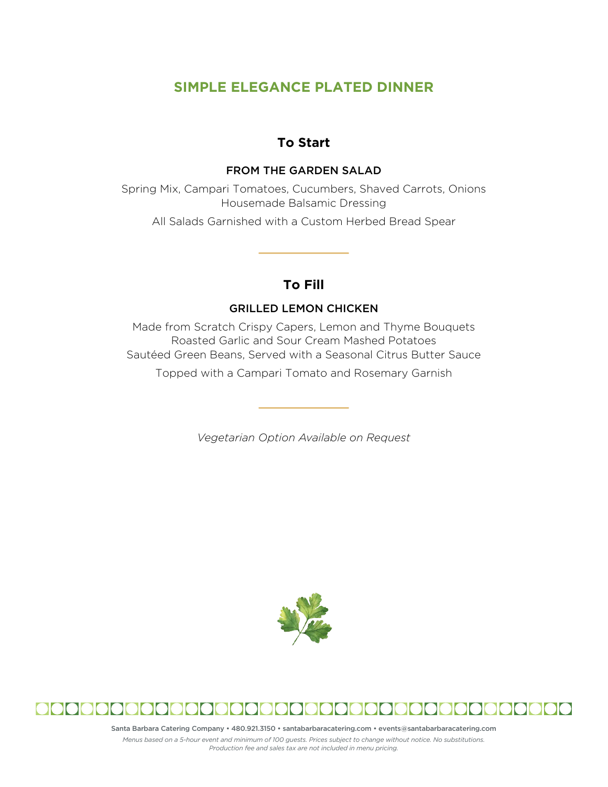# **SIMPLE ELEGANCE PLATED DINNER**

## **To Start**

#### FROM THE GARDEN SALAD

Spring Mix, Campari Tomatoes, Cucumbers, Shaved Carrots, Onions Housemade Balsamic Dressing

All Salads Garnished with a Custom Herbed Bread Spear

# **To Fill**

## GRILLED LEMON CHICKEN

Made from Scratch Crispy Capers, Lemon and Thyme Bouquets Roasted Garlic and Sour Cream Mashed Potatoes Sautéed Green Beans, Served with a Seasonal Citrus Butter Sauce Topped with a Campari Tomato and Rosemary Garnish

*Vegetarian Option Available on Request*





Santa Barbara Catering Company • 480.921.3150 • santabarbaracatering.com • events@santabarbaracatering.com

*Menus based on a 5-hour event and minimum of 100 guests. Prices subject to change without notice. No substitutions. Production fee and sales tax are not included in menu pricing.*